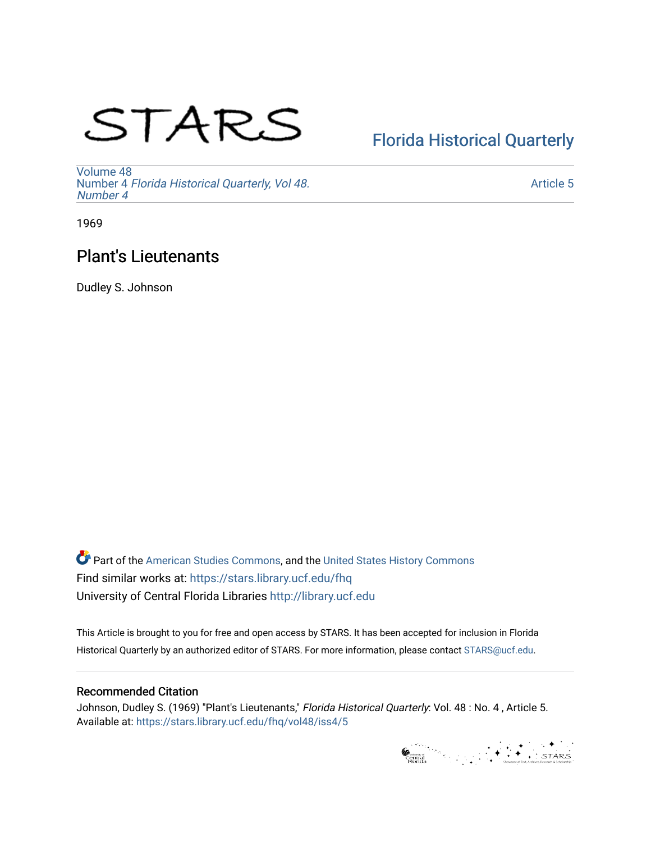# STARS

## [Florida Historical Quarterly](https://stars.library.ucf.edu/fhq)

[Volume 48](https://stars.library.ucf.edu/fhq/vol48) Number 4 [Florida Historical Quarterly, Vol 48.](https://stars.library.ucf.edu/fhq/vol48/iss4) [Number 4](https://stars.library.ucf.edu/fhq/vol48/iss4)

[Article 5](https://stars.library.ucf.edu/fhq/vol48/iss4/5) 

1969

## Plant's Lieutenants

Dudley S. Johnson

**C** Part of the [American Studies Commons](http://network.bepress.com/hgg/discipline/439?utm_source=stars.library.ucf.edu%2Ffhq%2Fvol48%2Fiss4%2F5&utm_medium=PDF&utm_campaign=PDFCoverPages), and the United States History Commons Find similar works at: <https://stars.library.ucf.edu/fhq> University of Central Florida Libraries [http://library.ucf.edu](http://library.ucf.edu/) 

This Article is brought to you for free and open access by STARS. It has been accepted for inclusion in Florida Historical Quarterly by an authorized editor of STARS. For more information, please contact [STARS@ucf.edu.](mailto:STARS@ucf.edu)

#### Recommended Citation

Johnson, Dudley S. (1969) "Plant's Lieutenants," Florida Historical Quarterly: Vol. 48 : No. 4, Article 5. Available at: [https://stars.library.ucf.edu/fhq/vol48/iss4/5](https://stars.library.ucf.edu/fhq/vol48/iss4/5?utm_source=stars.library.ucf.edu%2Ffhq%2Fvol48%2Fiss4%2F5&utm_medium=PDF&utm_campaign=PDFCoverPages) 

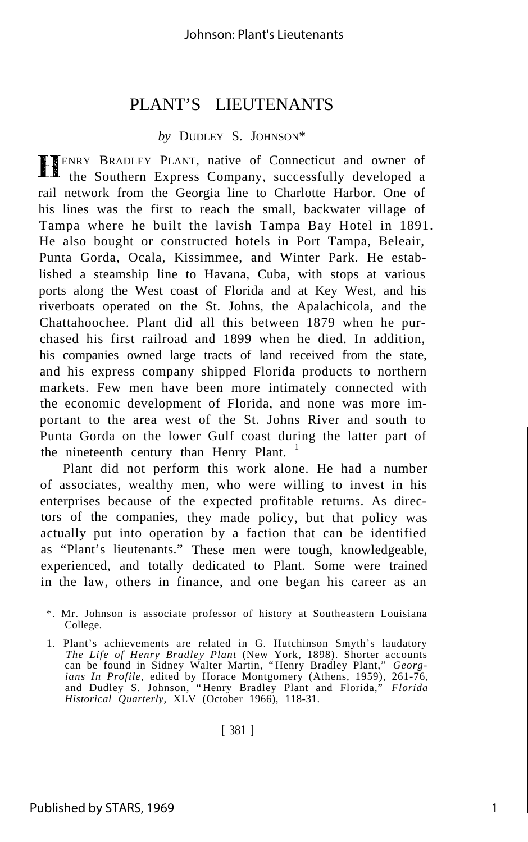#### *by* DUDLEY S. JOHNSON\*

ENRY BRADLEY PLANT, native of Connecticut and owner of the Southern Express Company, successfully developed a rail network from the Georgia line to Charlotte Harbor. One of his lines was the first to reach the small, backwater village of Tampa where he built the lavish Tampa Bay Hotel in 1891. He also bought or constructed hotels in Port Tampa, Beleair, Punta Gorda, Ocala, Kissimmee, and Winter Park. He established a steamship line to Havana, Cuba, with stops at various ports along the West coast of Florida and at Key West, and his riverboats operated on the St. Johns, the Apalachicola, and the Chattahoochee. Plant did all this between 1879 when he purchased his first railroad and 1899 when he died. In addition, his companies owned large tracts of land received from the state, and his express company shipped Florida products to northern markets. Few men have been more intimately connected with the economic development of Florida, and none was more important to the area west of the St. Johns River and south to Punta Gorda on the lower Gulf coast during the latter part of the nineteenth century than Henry Plant.  $\frac{1}{1}$ 

Plant did not perform this work alone. He had a number of associates, wealthy men, who were willing to invest in his enterprises because of the expected profitable returns. As directors of the companies, they made policy, but that policy was actually put into operation by a faction that can be identified as "Plant's lieutenants." These men were tough, knowledgeable, experienced, and totally dedicated to Plant. Some were trained in the law, others in finance, and one began his career as an

[ 381 ]

<sup>\*.</sup> Mr. Johnson is associate professor of history at Southeastern Louisiana College.

<sup>1.</sup> Plant's achievements are related in G. Hutchinson Smyth's laudatory *The Life of Henry Bradley Plant* (New York, 1898). Shorter accounts can be found in Sidney Walter Martin, "Henry Bradley Plant," *Georgians In Profile,* edited by Horace Montgomery (Athens, 1959), 261-76, and Dudley S. Johnson, "Henry Bradley Plant and Florida," *Florida Historical Quarterly,* XLV (October 1966), 118-31.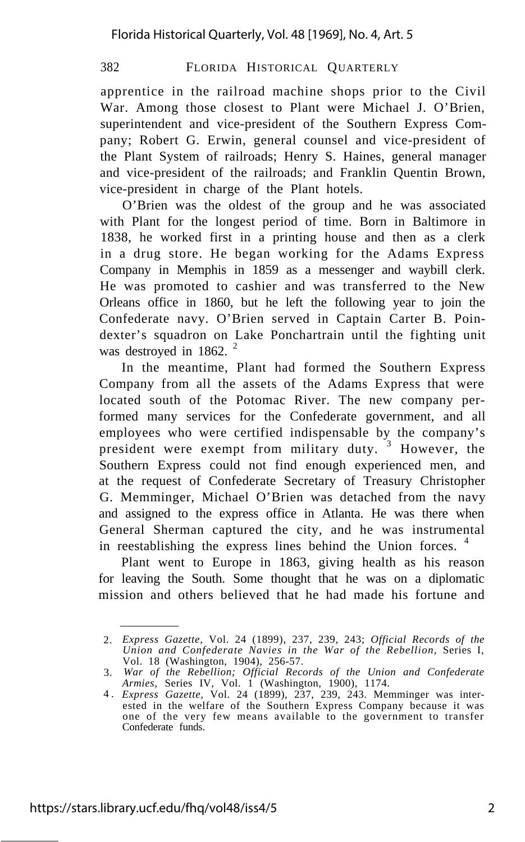apprentice in the railroad machine shops prior to the Civil War. Among those closest to Plant were Michael J. O'Brien, superintendent and vice-president of the Southern Express Company; Robert G. Erwin, general counsel and vice-president of the Plant System of railroads; Henry S. Haines, general manager and vice-president of the railroads; and Franklin Quentin Brown, vice-president in charge of the Plant hotels.

O'Brien was the oldest of the group and he was associated with Plant for the longest period of time. Born in Baltimore in 1838, he worked first in a printing house and then as a clerk in a drug store. He began working for the Adams Express Company in Memphis in 1859 as a messenger and waybill clerk. He was promoted to cashier and was transferred to the New Orleans office in 1860, but he left the following year to join the Confederate navy. O'Brien served in Captain Carter B. Poindexter's squadron on Lake Ponchartrain until the fighting unit was destroyed in 1862. $2$ 

In the meantime, Plant had formed the Southern Express Company from all the assets of the Adams Express that were located south of the Potomac River. The new company performed many services for the Confederate government, and all employees who were certified indispensable by the company's president were exempt from military duty.<sup>3</sup> However, the Southern Express could not find enough experienced men, and at the request of Confederate Secretary of Treasury Christopher G. Memminger, Michael O'Brien was detached from the navy and assigned to the express office in Atlanta. He was there when General Sherman captured the city, and he was instrumental in reestablishing the express lines behind the Union forces.  $4$ 

Plant went to Europe in 1863, giving health as his reason for leaving the South. Some thought that he was on a diplomatic mission and others believed that he had made his fortune and

<sup>2.</sup> *Express Gazette,* Vol. 24 (1899), 237, 239, 243; *Official Records of the Union and Confederate Navies in the War of the Rebellion,* Series I, Vol. 18 (Washington, 1904), 256-57.

<sup>3.</sup> *War of the Rebellion; Official Records of the Union and Confederate Armies,* Series IV, Vol. 1 (Washington, 1900), 1174.

<sup>4</sup> . *Express Gazette,* Vol. 24 (1899), 237, 239, 243. Memminger was interested in the welfare of the Southern Express Company because it was one of the very few means available to the government to transfer Confederate funds.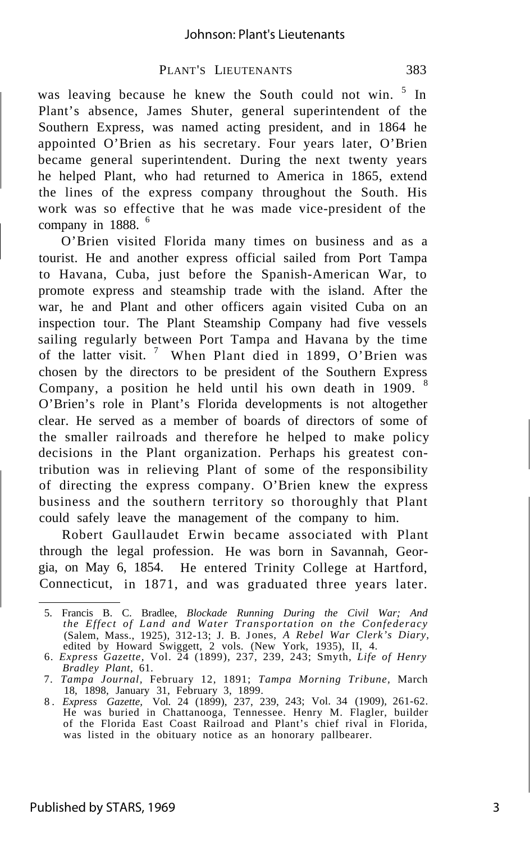was leaving because he knew the South could not win. <sup>5</sup> In Plant's absence, James Shuter, general superintendent of the Southern Express, was named acting president, and in 1864 he appointed O'Brien as his secretary. Four years later, O'Brien became general superintendent. During the next twenty years he helped Plant, who had returned to America in 1865, extend the lines of the express company throughout the South. His work was so effective that he was made vice-president of the company in 1888. <sup>6</sup>

O'Brien visited Florida many times on business and as a tourist. He and another express official sailed from Port Tampa to Havana, Cuba, just before the Spanish-American War, to promote express and steamship trade with the island. After the war, he and Plant and other officers again visited Cuba on an inspection tour. The Plant Steamship Company had five vessels sailing regularly between Port Tampa and Havana by the time of the latter visit. <sup>7</sup> When Plant died in 1899, O'Brien was chosen by the directors to be president of the Southern Express Company, a position he held until his own death in 1909.  $8$ O'Brien's role in Plant's Florida developments is not altogether clear. He served as a member of boards of directors of some of the smaller railroads and therefore he helped to make policy decisions in the Plant organization. Perhaps his greatest contribution was in relieving Plant of some of the responsibility of directing the express company. O'Brien knew the express business and the southern territory so thoroughly that Plant could safely leave the management of the company to him.

Robert Gaullaudet Erwin became associated with Plant through the legal profession. He was born in Savannah, Georgia, on May 6, 1854. He entered Trinity College at Hartford, Connecticut, in 1871, and was graduated three years later.

<sup>5.</sup> Francis B. C. Bradlee, *Blockade Running During the Civil War; And the Effect of Land and Water Transportation on the Confederacy* (Salem, Mass., 1925), 312-13; J. B. J ones, *A Rebel War Clerk's Diary,* edited by Howard Swiggett, 2 vols. (New York, 1935), II, 4. 6. *Express Gazette,* Vol. 24 (1899), 237, 239, 243; Smyth, *Life of Henry*

*Bradley Plant,* 61.

<sup>7.</sup> *Tampa Journal,* February 12, 1891; *Tampa Morning Tribune,* March 18, 1898, January 31, February 3, 1899. 8 . *Express Gazette,* Vol. 24 (1899), 237, 239, 243; Vol. 34 (1909), 261-62.

He was buried in Chattanooga, Tennessee. Henry M. Flagler, builder of the Florida East Coast Railroad and Plant's chief rival in Florida, was listed in the obituary notice as an honorary pallbearer.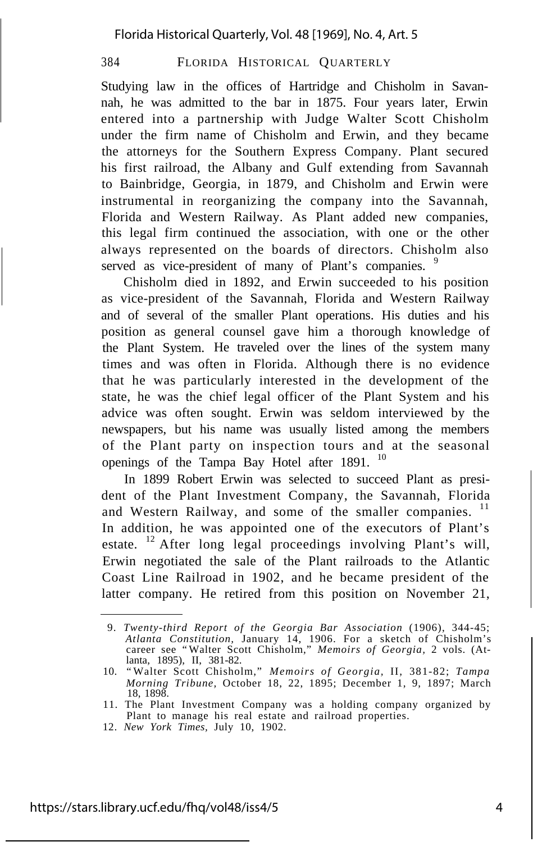Studying law in the offices of Hartridge and Chisholm in Savannah, he was admitted to the bar in 1875. Four years later, Erwin entered into a partnership with Judge Walter Scott Chisholm under the firm name of Chisholm and Erwin, and they became the attorneys for the Southern Express Company. Plant secured his first railroad, the Albany and Gulf extending from Savannah to Bainbridge, Georgia, in 1879, and Chisholm and Erwin were instrumental in reorganizing the company into the Savannah, Florida and Western Railway. As Plant added new companies, this legal firm continued the association, with one or the other always represented on the boards of directors. Chisholm also served as vice-president of many of Plant's companies. <sup>9</sup>

Chisholm died in 1892, and Erwin succeeded to his position as vice-president of the Savannah, Florida and Western Railway and of several of the smaller Plant operations. His duties and his position as general counsel gave him a thorough knowledge of the Plant System. He traveled over the lines of the system many times and was often in Florida. Although there is no evidence that he was particularly interested in the development of the state, he was the chief legal officer of the Plant System and his advice was often sought. Erwin was seldom interviewed by the newspapers, but his name was usually listed among the members of the Plant party on inspection tours and at the seasonal openings of the Tampa Bay Hotel after 1891.<sup>10</sup>

In 1899 Robert Erwin was selected to succeed Plant as president of the Plant Investment Company, the Savannah, Florida and Western Railway, and some of the smaller companies. <sup>11</sup> In addition, he was appointed one of the executors of Plant's estate. <sup>12</sup> After long legal proceedings involving Plant's will, Erwin negotiated the sale of the Plant railroads to the Atlantic Coast Line Railroad in 1902, and he became president of the latter company. He retired from this position on November 21,

<sup>9.</sup> *Twenty-third Report of the Georgia Bar Association* (1906), 344-45; *Atlanta Constitution,* January 14, 1906. For a sketch of Chisholm's career see "Walter Scott Chisholm," lanta, 1895), II, 381-82. *Memoirs of Georgia,* 2 vols. (At-

<sup>10.</sup> "Walter Scott Chisholm," *Memoirs of Georgia,* II, 381-82; *Tampa Morning Tribune,* October 18, 22, 1895; December 1, 9, 1897; March 18, 1898.

<sup>11.</sup> The Plant Investment Company was a holding company organized by Plant to manage his real estate and railroad properties.

<sup>12.</sup> *New York Times,* July 10, 1902.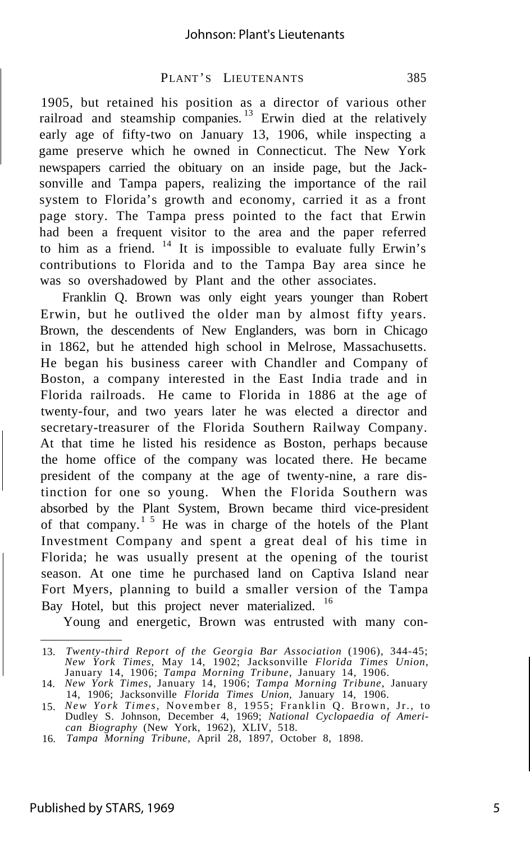#### Johnson: Plant's Lieutenants

#### PLANT'S LIEUTENANTS 385

1905, but retained his position as a director of various other railroad and steamship companies.<sup>13</sup> Erwin died at the relatively early age of fifty-two on January 13, 1906, while inspecting a game preserve which he owned in Connecticut. The New York newspapers carried the obituary on an inside page, but the Jacksonville and Tampa papers, realizing the importance of the rail system to Florida's growth and economy, carried it as a front page story. The Tampa press pointed to the fact that Erwin had been a frequent visitor to the area and the paper referred to him as a friend.  $14$  It is impossible to evaluate fully Erwin's contributions to Florida and to the Tampa Bay area since he was so overshadowed by Plant and the other associates.

Franklin Q. Brown was only eight years younger than Robert Erwin, but he outlived the older man by almost fifty years. Brown, the descendents of New Englanders, was born in Chicago in 1862, but he attended high school in Melrose, Massachusetts. He began his business career with Chandler and Company of Boston, a company interested in the East India trade and in Florida railroads. He came to Florida in 1886 at the age of twenty-four, and two years later he was elected a director and secretary-treasurer of the Florida Southern Railway Company. At that time he listed his residence as Boston, perhaps because the home office of the company was located there. He became president of the company at the age of twenty-nine, a rare distinction for one so young. When the Florida Southern was absorbed by the Plant System, Brown became third vice-president of that company.<sup>1 5</sup> He was in charge of the hotels of the Plant Investment Company and spent a great deal of his time in Florida; he was usually present at the opening of the tourist season. At one time he purchased land on Captiva Island near Fort Myers, planning to build a smaller version of the Tampa Bay Hotel, but this project never materialized. <sup>16</sup>

Young and energetic, Brown was entrusted with many con-

<sup>13.</sup> *Twenty-third Report of the Georgia Bar Association* (1906), 344-45; *New York Times,* May 14, 1902; Jacksonville *Florida Times Union,* January 14, 1906; *Tampa Morning Tribune,* January 14, 1906.

<sup>14.</sup> *New York Times,* January 14, 1906; *Tampa Morning Tribune,* January 14, 1906; Jacksonville *Florida Times Union,* January 14, 1906.

<sup>15.</sup> *New York Times,* November 8, 1955; Franklin Q. Brown, Jr., to Dudley S. Johnson, December 4, 1969; *National Cyclopaedia of American Biography* (New York, 1962), XLIV, 518. *Tampa Morning Tribune,* April 28, 1897, October 8, 1898.

<sup>16.</sup>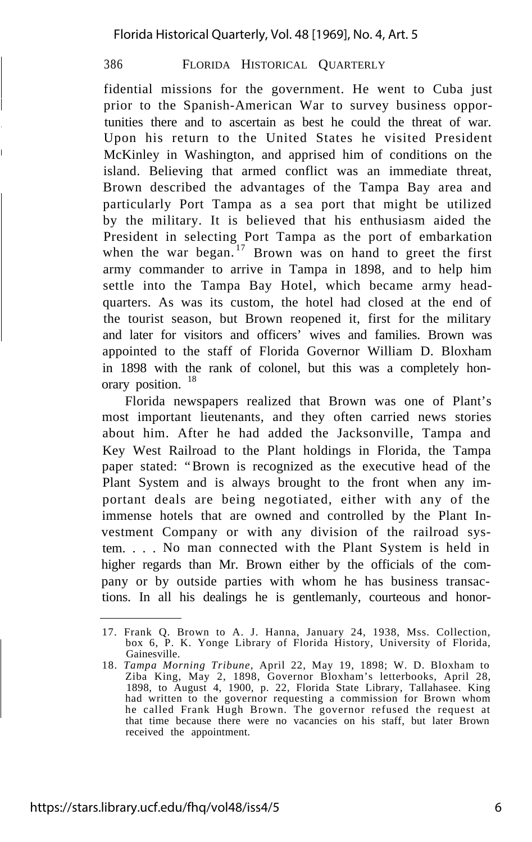fidential missions for the government. He went to Cuba just prior to the Spanish-American War to survey business opportunities there and to ascertain as best he could the threat of war. Upon his return to the United States he visited President McKinley in Washington, and apprised him of conditions on the island. Believing that armed conflict was an immediate threat, Brown described the advantages of the Tampa Bay area and particularly Port Tampa as a sea port that might be utilized by the military. It is believed that his enthusiasm aided the President in selecting Port Tampa as the port of embarkation when the war began.<sup>17</sup> Brown was on hand to greet the first army commander to arrive in Tampa in 1898, and to help him settle into the Tampa Bay Hotel, which became army headquarters. As was its custom, the hotel had closed at the end of the tourist season, but Brown reopened it, first for the military and later for visitors and officers' wives and families. Brown was appointed to the staff of Florida Governor William D. Bloxham in 1898 with the rank of colonel, but this was a completely honorary position. <sup>18</sup>

Florida newspapers realized that Brown was one of Plant's most important lieutenants, and they often carried news stories about him. After he had added the Jacksonville, Tampa and Key West Railroad to the Plant holdings in Florida, the Tampa paper stated: "Brown is recognized as the executive head of the Plant System and is always brought to the front when any important deals are being negotiated, either with any of the immense hotels that are owned and controlled by the Plant Investment Company or with any division of the railroad system. . . . No man connected with the Plant System is held in higher regards than Mr. Brown either by the officials of the company or by outside parties with whom he has business transactions. In all his dealings he is gentlemanly, courteous and honor-

<sup>17.</sup> Frank Q. Brown to A. J. Hanna, January 24, 1938, Mss. Collection, box 6, P. K. Yonge Library of Florida History, University of Florida, Gainesville.

<sup>18.</sup> *Tampa Morning Tribune,* April 22, May 19, 1898; W. D. Bloxham to Ziba King, May 2, 1898, Governor Bloxham's letterbooks, April 28, 1898, to August 4, 1900, p. 22, Florida State Library, Tallahasee. King had written to the governor requesting a commission for Brown whom he called Frank Hugh Brown. The governor refused the request at that time because there were no vacancies on his staff, but later Brown received the appointment.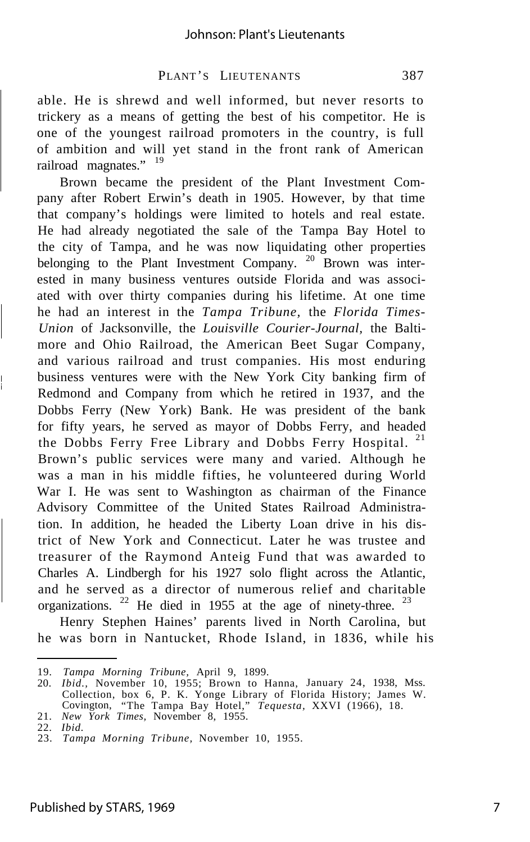able. He is shrewd and well informed, but never resorts to trickery as a means of getting the best of his competitor. He is one of the youngest railroad promoters in the country, is full of ambition and will yet stand in the front rank of American railroad magnates." <sup>19</sup>

Brown became the president of the Plant Investment Company after Robert Erwin's death in 1905. However, by that time that company's holdings were limited to hotels and real estate. He had already negotiated the sale of the Tampa Bay Hotel to the city of Tampa, and he was now liquidating other properties belonging to the Plant Investment Company. <sup>20</sup> Brown was interested in many business ventures outside Florida and was associated with over thirty companies during his lifetime. At one time he had an interest in the *Tampa Tribune,* the *Florida Times-Union* of Jacksonville, the *Louisville Courier-Journal,* the Baltimore and Ohio Railroad, the American Beet Sugar Company, and various railroad and trust companies. His most enduring business ventures were with the New York City banking firm of Redmond and Company from which he retired in 1937, and the Dobbs Ferry (New York) Bank. He was president of the bank for fifty years, he served as mayor of Dobbs Ferry, and headed the Dobbs Ferry Free Library and Dobbs Ferry Hospital. Brown's public services were many and varied. Although he was a man in his middle fifties, he volunteered during World War I. He was sent to Washington as chairman of the Finance Advisory Committee of the United States Railroad Administration. In addition, he headed the Liberty Loan drive in his district of New York and Connecticut. Later he was trustee and treasurer of the Raymond Anteig Fund that was awarded to Charles A. Lindbergh for his 1927 solo flight across the Atlantic, and he served as a director of numerous relief and charitable organizations.  $22$  He died in 1955 at the age of ninety-three.  $23$ 

Henry Stephen Haines' parents lived in North Carolina, but he was born in Nantucket, Rhode Island, in 1836, while his

<sup>19.</sup> *Tampa Morning Tribune,* April 9, 1899.

<sup>20.</sup> *Ibid.,* November 10, 1955; Brown to Hanna, January 24, 1938, Mss. Collection, box 6, P. K. Yonge Library of Florida History; James W. Covington, 21. "The Tampa Bay Hotel," *Tequesta,* XXVI (1966), 18. *New York Times,* November 8, 1955.

<sup>22.</sup> *Ibid.*

<sup>23.</sup> *Tampa Morning Tribune,* November 10, 1955.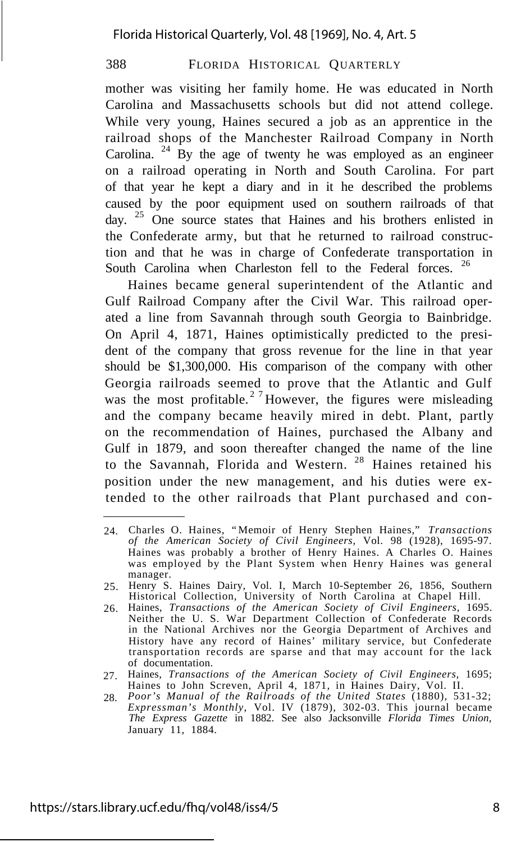mother was visiting her family home. He was educated in North Carolina and Massachusetts schools but did not attend college. While very young, Haines secured a job as an apprentice in the railroad shops of the Manchester Railroad Company in North Carolina.  $24$  By the age of twenty he was employed as an engineer on a railroad operating in North and South Carolina. For part of that year he kept a diary and in it he described the problems caused by the poor equipment used on southern railroads of that day. <sup>25</sup> One source states that Haines and his brothers enlisted in the Confederate army, but that he returned to railroad construction and that he was in charge of Confederate transportation in South Carolina when Charleston fell to the Federal forces.

Haines became general superintendent of the Atlantic and Gulf Railroad Company after the Civil War. This railroad operated a line from Savannah through south Georgia to Bainbridge. On April 4, 1871, Haines optimistically predicted to the president of the company that gross revenue for the line in that year should be \$1,300,000. His comparison of the company with other Georgia railroads seemed to prove that the Atlantic and Gulf was the most profitable.<sup>27</sup> However, the figures were misleading and the company became heavily mired in debt. Plant, partly on the recommendation of Haines, purchased the Albany and Gulf in 1879, and soon thereafter changed the name of the line to the Savannah, Florida and Western.<sup>28</sup> Haines retained his position under the new management, and his duties were extended to the other railroads that Plant purchased and con-

<sup>24.</sup> Charles O. Haines, "Memoir of Henry Stephen Haines," *Transactions of the American Society of Civil Engineers,* Vol. 98 (1928), 1695-97. Haines was probably a brother of Henry Haines. A Charles O. Haines was employed by the Plant System when Henry Haines was general manager.

<sup>25.</sup> Henry S. Haines Dairy, Vol. I, March 10-September 26, 1856, Southern Historical Collection, University of North Carolina at Chapel Hill.

<sup>26.</sup> Haines, *Transactions of the American Society of Civil Engineers,* 1695. Neither the U. S. War Department Collection of Confederate Records in the National Archives nor the Georgia Department of Archives and History have any record of Haines' military service, but Confederate transportation records are sparse and that may account for the lack of documentation.

<sup>27.</sup> Haines, *Transactions of the American Society of Civil Engineers,* 1695; Haines to John Screven, April 4, 1871, in Haines Dairy, Vol. II. *Poor's Manual of the Railroads of the United States* (1880), 531-32;

<sup>28.</sup> *Expressman's Monthly,* Vol. IV (1879), 302-03. This journal became *The Express Gazette* in 1882. See also Jacksonville *Florida Times Union,* January 11, 1884.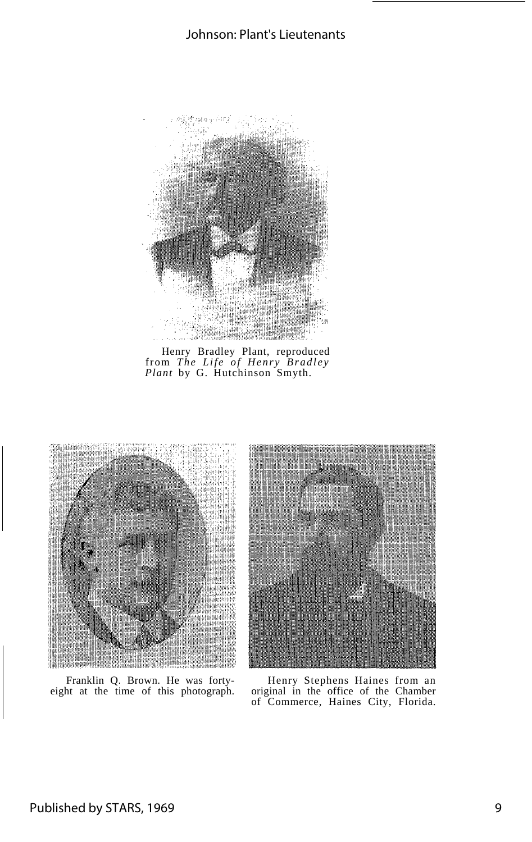#### Johnson: Plant's Lieutenants



Henry Bradley Plant, reproduced from *The Life of Henry Bradley Plant* by G. Hutchinson Smyth.





Franklin Q. Brown. He was forty-eight at the time of this photograph.

Henry Stephens Haines from an original in the office of the Chamber of Commerce, Haines City, Florida.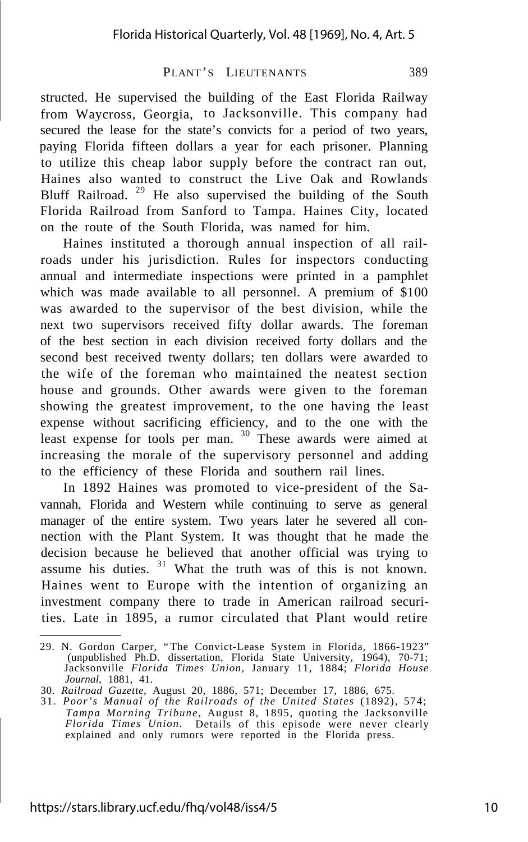structed. He supervised the building of the East Florida Railway from Waycross, Georgia, to Jacksonville. This company had secured the lease for the state's convicts for a period of two years, paying Florida fifteen dollars a year for each prisoner. Planning to utilize this cheap labor supply before the contract ran out, Haines also wanted to construct the Live Oak and Rowlands Bluff Railroad. <sup>29</sup> He also supervised the building of the South Florida Railroad from Sanford to Tampa. Haines City, located on the route of the South Florida, was named for him.

Haines instituted a thorough annual inspection of all railroads under his jurisdiction. Rules for inspectors conducting annual and intermediate inspections were printed in a pamphlet which was made available to all personnel. A premium of \$100 was awarded to the supervisor of the best division, while the next two supervisors received fifty dollar awards. The foreman of the best section in each division received forty dollars and the second best received twenty dollars; ten dollars were awarded to the wife of the foreman who maintained the neatest section house and grounds. Other awards were given to the foreman showing the greatest improvement, to the one having the least expense without sacrificing efficiency, and to the one with the least expense for tools per man.  $30$  These awards were aimed at increasing the morale of the supervisory personnel and adding to the efficiency of these Florida and southern rail lines.

In 1892 Haines was promoted to vice-president of the Savannah, Florida and Western while continuing to serve as general manager of the entire system. Two years later he severed all connection with the Plant System. It was thought that he made the decision because he believed that another official was trying to assume his duties. <sup>31</sup> What the truth was of this is not known. Haines went to Europe with the intention of organizing an investment company there to trade in American railroad securities. Late in 1895, a rumor circulated that Plant would retire

<sup>29.</sup> N. Gordon Carper, "The Convict-Lease System in Florida, 1866-1923" (unpublished Ph.D. dissertation, Florida State University, 1964), 70-71; Jacksonville *Florida Times Union,* January 11, 1884; *Florida House Journal,* 1881, 41.

<sup>30.</sup> *Railroad Gazette,* August 20, 1886, 571; December 17, 1886, 675.

<sup>31.</sup> *Poor's Manual of the Railroads of the United States* (1892), 574; *Tampa Morning Tribune,* August 8, 1895, quoting the Jacksonville *Florida Times Union.* Details of this episode were never clearly explained and only rumors were reported in the Florida press.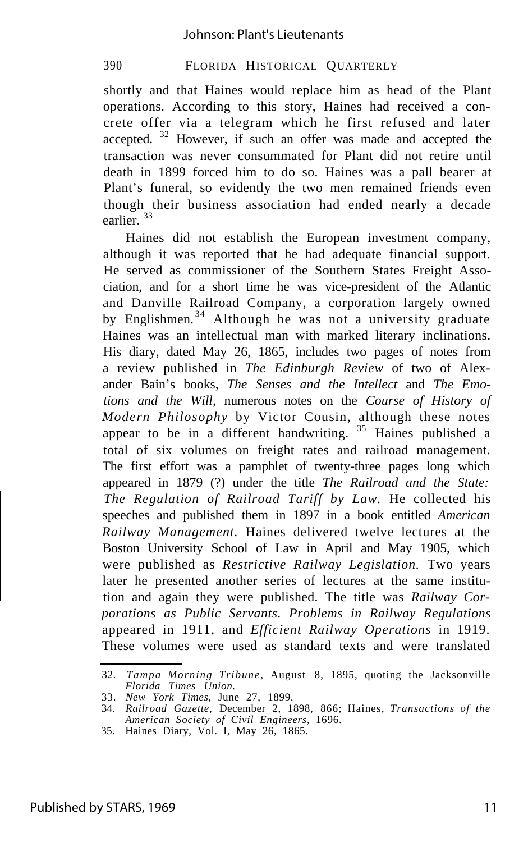shortly and that Haines would replace him as head of the Plant operations. According to this story, Haines had received a concrete offer via a telegram which he first refused and later accepted. <sup>32</sup> However, if such an offer was made and accepted the transaction was never consummated for Plant did not retire until death in 1899 forced him to do so. Haines was a pall bearer at Plant's funeral, so evidently the two men remained friends even though their business association had ended nearly a decade earlier. <sup>33</sup>

Haines did not establish the European investment company, although it was reported that he had adequate financial support. He served as commissioner of the Southern States Freight Association, and for a short time he was vice-president of the Atlantic and Danville Railroad Company, a corporation largely owned by Englishmen. <sup>34</sup> Although he was not a university graduate Haines was an intellectual man with marked literary inclinations. His diary, dated May 26, 1865, includes two pages of notes from a review published in *The Edinburgh Review* of two of Alexander Bain's books, *The Senses and the Intellect* and *The Emotions and the Will,* numerous notes on the *Course of History of Modern Philosophy* by Victor Cousin, although these notes appear to be in a different handwriting. <sup>35</sup> Haines published a total of six volumes on freight rates and railroad management. The first effort was a pamphlet of twenty-three pages long which appeared in 1879 (?) under the title *The Railroad and the State: The Regulation of Railroad Tariff by Law.* He collected his speeches and published them in 1897 in a book entitled *American Railway Management.* Haines delivered twelve lectures at the Boston University School of Law in April and May 1905, which were published as *Restrictive Railway Legislation.* Two years later he presented another series of lectures at the same institution and again they were published. The title was *Railway Corporations as Public Servants. Problems in Railway Regulations* appeared in 1911, and *Efficient Railway Operations* in 1919. These volumes were used as standard texts and were translated

<sup>32.</sup> *Tampa Morning Tribune,* August 8, 1895, quoting the Jacksonville *Florida Times Union.*

<sup>33.</sup> *New York Times,* June 27, 1899.

<sup>34.</sup> *Railroad Gazette,* December 2, 1898, 866; Haines, *Transactions of the American Society of Civil Engineers,* 1696.

<sup>35.</sup> Haines Diary, Vol. I, May 26, 1865.